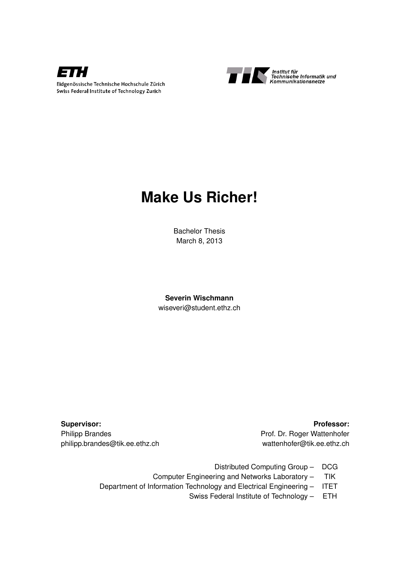



# **Make Us Richer!**

Bachelor Thesis March 8, 2013

**Severin Wischmann** wiseveri@student.ethz.ch

**Supervisor: Professor:** Philipp Brandes **Philipp Brandes** Prof. Dr. Roger Wattenhofer

philipp.brandes@tik.ee.ethz.ch wattenhofer@tik.ee.ethz.ch

- Distributed Computing Group DCG
- Computer Engineering and Networks Laboratory TIK
- Department of Information Technology and Electrical Engineering ITET
	- Swiss Federal Institute of Technology ETH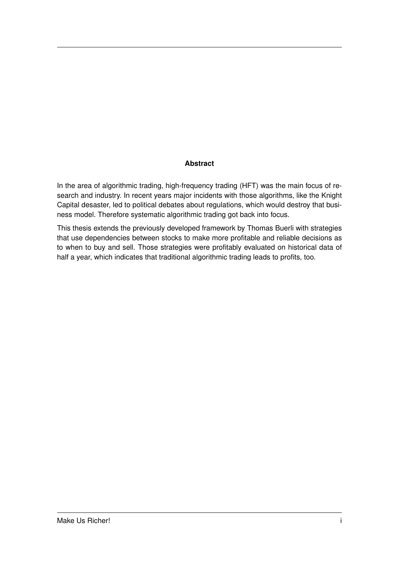#### **Abstract**

In the area of algorithmic trading, high-frequency trading (HFT) was the main focus of research and industry. In recent years major incidents with those algorithms, like the Knight Capital desaster, led to political debates about regulations, which would destroy that business model. Therefore systematic algorithmic trading got back into focus.

This thesis extends the previously developed framework by Thomas Buerli with strategies that use dependencies between stocks to make more profitable and reliable decisions as to when to buy and sell. Those strategies were profitably evaluated on historical data of half a year, which indicates that traditional algorithmic trading leads to profits, too.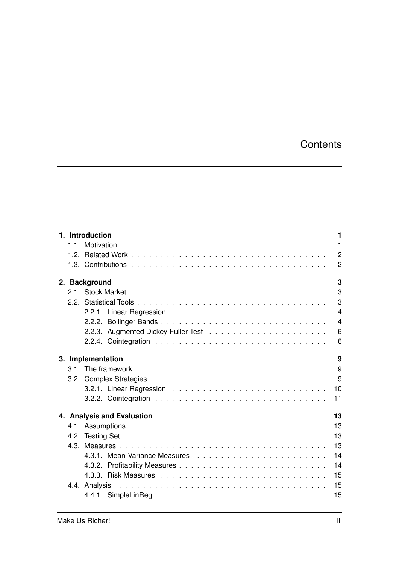# **Contents**

|  | 1. Introduction            |  |  |  |  |  |  |  |  |  |  | 1 |   |    |  |                |
|--|----------------------------|--|--|--|--|--|--|--|--|--|--|---|---|----|--|----------------|
|  |                            |  |  |  |  |  |  |  |  |  |  |   |   |    |  | $\overline{1}$ |
|  |                            |  |  |  |  |  |  |  |  |  |  |   |   |    |  | $\overline{2}$ |
|  |                            |  |  |  |  |  |  |  |  |  |  |   |   |    |  | $\overline{2}$ |
|  | 2. Background              |  |  |  |  |  |  |  |  |  |  |   | 3 |    |  |                |
|  |                            |  |  |  |  |  |  |  |  |  |  |   | 3 |    |  |                |
|  |                            |  |  |  |  |  |  |  |  |  |  |   | 3 |    |  |                |
|  |                            |  |  |  |  |  |  |  |  |  |  |   |   |    |  | $\overline{4}$ |
|  |                            |  |  |  |  |  |  |  |  |  |  |   |   |    |  | $\overline{4}$ |
|  |                            |  |  |  |  |  |  |  |  |  |  |   |   |    |  | 6              |
|  |                            |  |  |  |  |  |  |  |  |  |  |   |   |    |  | 6              |
|  | 3. Implementation          |  |  |  |  |  |  |  |  |  |  |   |   |    |  | 9              |
|  |                            |  |  |  |  |  |  |  |  |  |  |   |   |    |  | 9              |
|  |                            |  |  |  |  |  |  |  |  |  |  |   |   |    |  | - 9            |
|  |                            |  |  |  |  |  |  |  |  |  |  |   |   |    |  | 10             |
|  |                            |  |  |  |  |  |  |  |  |  |  |   |   |    |  | 11             |
|  | 4. Analysis and Evaluation |  |  |  |  |  |  |  |  |  |  |   |   | 13 |  |                |
|  |                            |  |  |  |  |  |  |  |  |  |  |   |   |    |  | 13             |
|  |                            |  |  |  |  |  |  |  |  |  |  |   |   |    |  | 13             |
|  |                            |  |  |  |  |  |  |  |  |  |  |   |   |    |  | 13             |
|  |                            |  |  |  |  |  |  |  |  |  |  |   |   |    |  | 14             |
|  |                            |  |  |  |  |  |  |  |  |  |  |   |   |    |  | 14             |
|  |                            |  |  |  |  |  |  |  |  |  |  |   |   |    |  | 15             |
|  |                            |  |  |  |  |  |  |  |  |  |  |   |   |    |  | 15             |
|  |                            |  |  |  |  |  |  |  |  |  |  |   |   |    |  | 15             |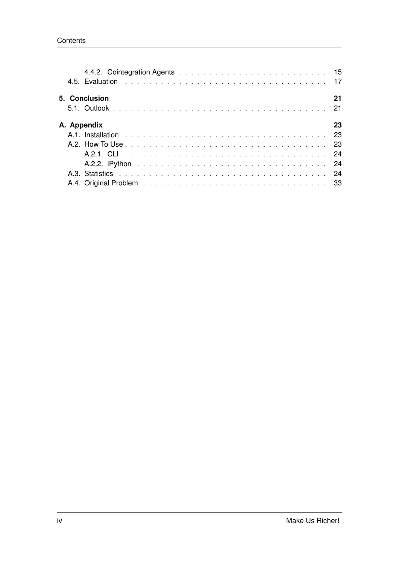|  | 5. Conclusion | 21 |
|--|---------------|----|
|  | A. Appendix   | 23 |
|  |               |    |
|  |               |    |
|  |               |    |
|  |               |    |
|  |               |    |
|  |               |    |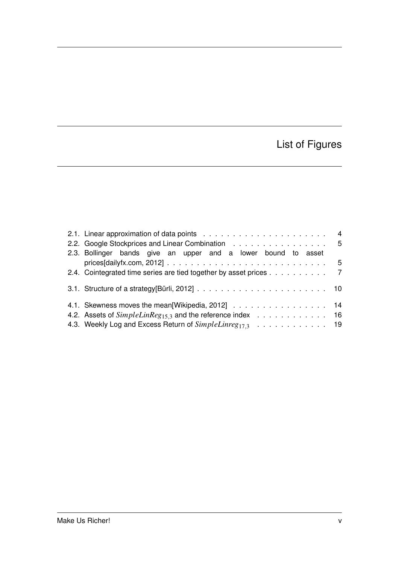# List of Figures

| 2.2. Google Stockprices and Linear Combination 5                                                                   |  |
|--------------------------------------------------------------------------------------------------------------------|--|
| 2.3. Bollinger bands give an upper and a lower bound to asset                                                      |  |
| prices [dailyfx.com, 2012] $\ldots \ldots \ldots \ldots \ldots \ldots \ldots \ldots \ldots \ldots \ldots \ldots 5$ |  |
| 2.4. Cointegrated time series are tied together by asset prices 7                                                  |  |
|                                                                                                                    |  |
| 4.1. Skewness moves the mean [Wikipedia, 2012] 14                                                                  |  |
| 4.2. Assets of SimpleLinReg <sub>15.3</sub> and the reference index 16                                             |  |
| 4.3. Weekly Log and Excess Return of SimpleLinreg <sub>17,3</sub> 19                                               |  |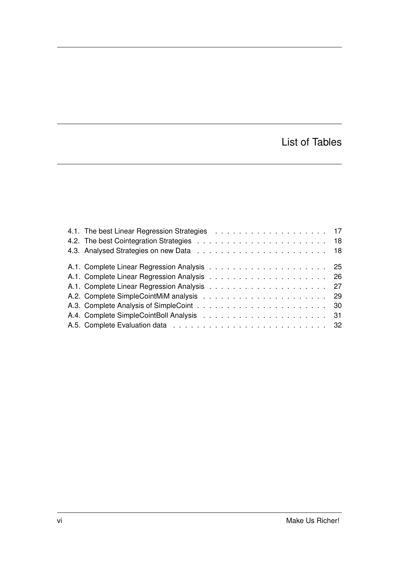## List of Tables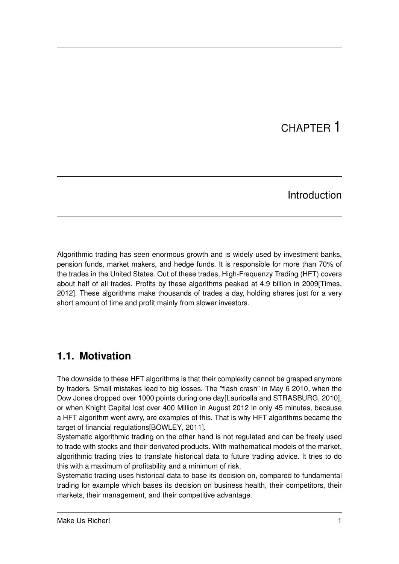# CHAPTER 1

## Introduction

Algorithmic trading has seen enormous growth and is widely used by investment banks, pension funds, market makers, and hedge funds. It is responsible for more than 70% of the trades in the United States. Out of these trades, High-Frequenzy Trading (HFT) covers about half of all trades. Profits by these algorithms peaked at 4.9 billion in 2009[Times, 2012]. These algorithms make thousands of trades a day, holding shares just for a very short amount of time and profit mainly from slower investors.

## **1.1. Motivation**

The downside to these HFT algorithms is that their complexity cannot be grasped anymore by traders. Small mistakes lead to big losses. The "flash crash" in May 6 2010, when the Dow Jones dropped over 1000 points during one day[Lauricella and STRASBURG, 2010], or when Knight Capital lost over 400 Million in August 2012 in only 45 minutes, because a HFT algorithm went awry, are examples of this. That is why HFT algorithms became the target of financial regulations[BOWLEY, 2011].

Systematic algorithmic trading on the other hand is not regulated and can be freely used to trade with stocks and their derivated products. With mathematical models of the market, algorithmic trading tries to translate historical data to future trading advice. It tries to do this with a maximum of profitability and a minimum of risk.

Systematic trading uses historical data to base its decision on, compared to fundamental trading for example which bases its decision on business health, their competitors, their markets, their management, and their competitive advantage.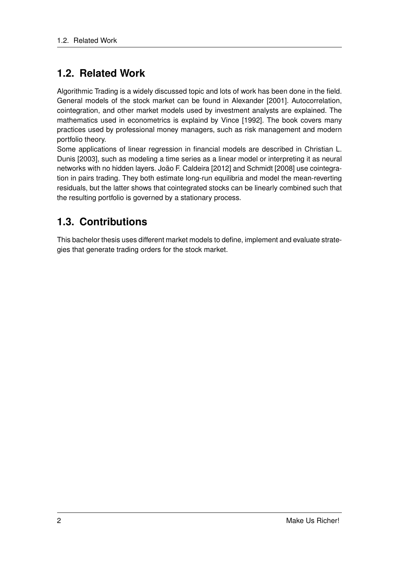## **1.2. Related Work**

Algorithmic Trading is a widely discussed topic and lots of work has been done in the field. General models of the stock market can be found in Alexander [2001]. Autocorrelation, cointegration, and other market models used by investment analysts are explained. The mathematics used in econometrics is explaind by Vince [1992]. The book covers many practices used by professional money managers, such as risk management and modern portfolio theory.

Some applications of linear regression in financial models are described in Christian L. Dunis [2003], such as modeling a time series as a linear model or interpreting it as neural networks with no hidden layers. João F. Caldeira [2012] and Schmidt [2008] use cointegration in pairs trading. They both estimate long-run equilibria and model the mean-reverting residuals, but the latter shows that cointegrated stocks can be linearly combined such that the resulting portfolio is governed by a stationary process.

## **1.3. Contributions**

This bachelor thesis uses different market models to define, implement and evaluate strategies that generate trading orders for the stock market.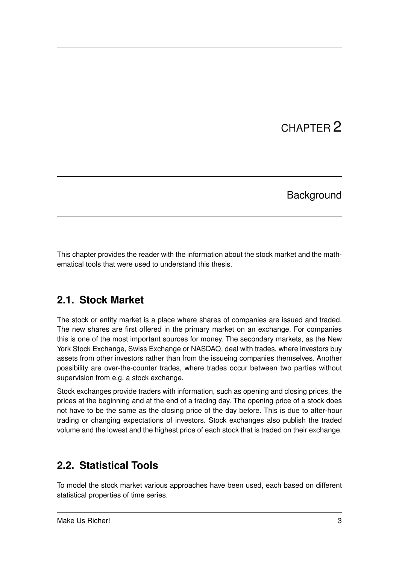# CHAPTER 2

## **Background**

This chapter provides the reader with the information about the stock market and the mathematical tools that were used to understand this thesis.

## **2.1. Stock Market**

The stock or entity market is a place where shares of companies are issued and traded. The new shares are first offered in the primary market on an exchange. For companies this is one of the most important sources for money. The secondary markets, as the New York Stock Exchange, Swiss Exchange or NASDAQ, deal with trades, where investors buy assets from other investors rather than from the issueing companies themselves. Another possibility are over-the-counter trades, where trades occur between two parties without supervision from e.g. a stock exchange.

Stock exchanges provide traders with information, such as opening and closing prices, the prices at the beginning and at the end of a trading day. The opening price of a stock does not have to be the same as the closing price of the day before. This is due to after-hour trading or changing expectations of investors. Stock exchanges also publish the traded volume and the lowest and the highest price of each stock that is traded on their exchange.

## **2.2. Statistical Tools**

To model the stock market various approaches have been used, each based on different statistical properties of time series.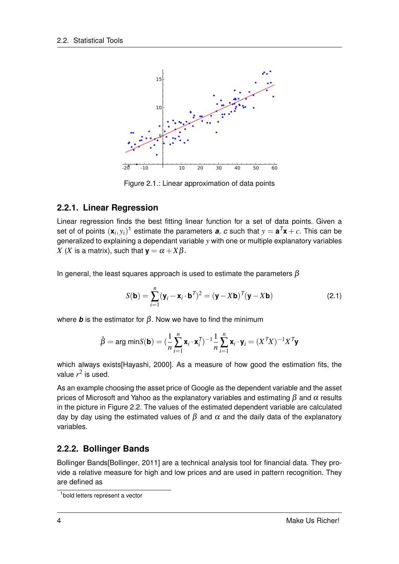

Figure 2.1.: Linear approximation of data points

#### **2.2.1. Linear Regression**

Linear regression finds the best fitting linear function for a set of data points. Given a set of of points  $(\mathbf{x}_i, y_i)^{\text{T}}$  estimate the parameters  $\boldsymbol{a}$ ,  $c$  such that  $y = \boldsymbol{a}^T\mathbf{x} + c$ . This can be generalized to explaining a dependant variable *y* with one or multiple explanatory variables *X* (*X* is a matrix), such that  $\mathbf{y} = \alpha + X\beta$ .

In general, the least squares approach is used to estimate the parameters  $\beta$ 

$$
S(\mathbf{b}) = \sum_{i=1}^{n} (\mathbf{y}_i - \mathbf{x}_i \cdot \mathbf{b}^T)^2 = (\mathbf{y} - X\mathbf{b})^T (\mathbf{y} - X\mathbf{b})
$$
 (2.1)

where **b** is the estimator for  $\beta$ . Now we have to find the minimum

$$
\hat{\beta} = \arg \min S(\mathbf{b}) = (\frac{1}{n} \sum_{i=1}^{n} \mathbf{x}_i \cdot \mathbf{x}_i^T)^{-1} \frac{1}{n} \sum_{i=1}^{n} \mathbf{x}_i \cdot \mathbf{y}_i = (X^T X)^{-1} X^T \mathbf{y}
$$

which always exists[Hayashi, 2000]. As a measure of how good the estimation fits, the value  $r^2$  is used.

As an example choosing the asset price of Google as the dependent variable and the asset prices of Microsoft and Yahoo as the explanatory variables and estimating  $\beta$  and  $\alpha$  results in the picture in Figure 2.2. The values of the estimated dependent variable are calculated day by day using the estimated values of  $\beta$  and  $\alpha$  and the daily data of the explanatory variables.

#### **2.2.2. Bollinger Bands**

Bollinger Bands[Bollinger, 2011] are a technical analysis tool for financial data. They provide a relative measure for high and low prices and are used in pattern recognition. They are defined as

<sup>1</sup>bold letters represent a vector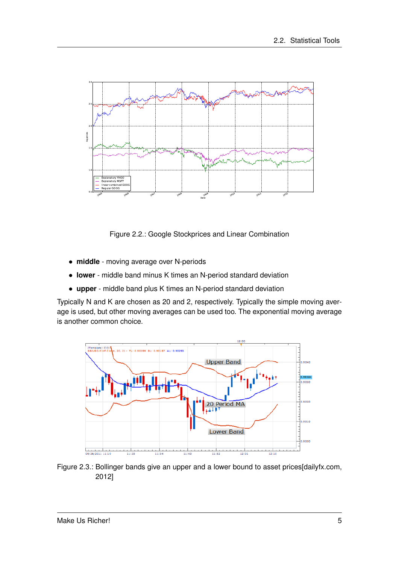

Figure 2.2.: Google Stockprices and Linear Combination

- **middle** moving average over N-periods
- **lower** middle band minus K times an N-period standard deviation
- **upper** middle band plus K times an N-period standard deviation

Typically N and K are chosen as 20 and 2, respectively. Typically the simple moving average is used, but other moving averages can be used too. The exponential moving average is another common choice.



Figure 2.3.: Bollinger bands give an upper and a lower bound to asset prices[dailyfx.com, 2012]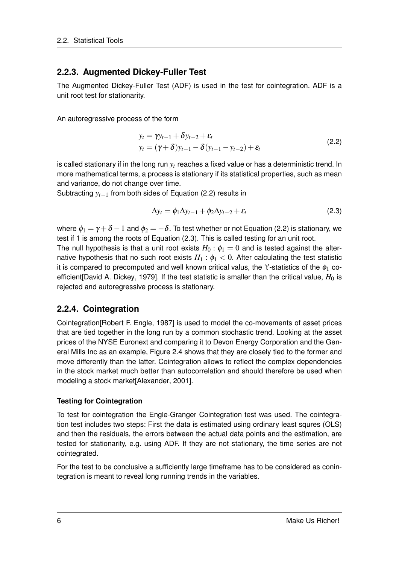#### **2.2.3. Augmented Dickey-Fuller Test**

The Augmented Dickey-Fuller Test (ADF) is used in the test for cointegration. ADF is a unit root test for stationarity.

An autoregressive process of the form

$$
y_t = \gamma y_{t-1} + \delta y_{t-2} + \varepsilon_t
$$
  
\n
$$
y_t = (\gamma + \delta) y_{t-1} - \delta (y_{t-1} - y_{t-2}) + \varepsilon_t
$$
\n(2.2)

is called stationary if in the long run  $y_t$  reaches a fixed value or has a deterministic trend. In more mathematical terms, a process is stationary if its statistical properties, such as mean and variance, do not change over time.

Subtracting *yt*−<sup>1</sup> from both sides of Equation (2.2) results in

$$
\Delta y_t = \phi_1 \Delta y_{t-1} + \phi_2 \Delta y_{t-2} + \varepsilon_t \tag{2.3}
$$

where  $\phi_1 = \gamma + \delta - 1$  and  $\phi_2 = -\delta$ . To test whether or not Equation (2.2) is stationary, we test if 1 is among the roots of Equation (2.3). This is called testing for an unit root.

The null hypothesis is that a unit root exists  $H_0$ :  $\phi_1 = 0$  and is tested against the alternative hypothesis that no such root exists  $H_1$  :  $\phi_1$  < 0. After calculating the test statistic it is compared to precomputed and well known critical valus, the 't'-statistics of the  $\phi_1$  coefficient [David A. Dickey, 1979]. If the test statistic is smaller than the critical value,  $H_0$  is rejected and autoregressive process is stationary.

#### **2.2.4. Cointegration**

Cointegration[Robert F. Engle, 1987] is used to model the co-movements of asset prices that are tied together in the long run by a common stochastic trend. Looking at the asset prices of the NYSE Euronext and comparing it to Devon Energy Corporation and the General Mills Inc as an example, Figure 2.4 shows that they are closely tied to the former and move differently than the latter. Cointegration allows to reflect the complex dependencies in the stock market much better than autocorrelation and should therefore be used when modeling a stock market[Alexander, 2001].

#### **Testing for Cointegration**

To test for cointegration the Engle-Granger Cointegration test was used. The cointegration test includes two steps: First the data is estimated using ordinary least squres (OLS) and then the residuals, the errors between the actual data points and the estimation, are tested for stationarity, e.g. using ADF. If they are not stationary, the time series are not cointegrated.

For the test to be conclusive a sufficiently large timeframe has to be considered as conintegration is meant to reveal long running trends in the variables.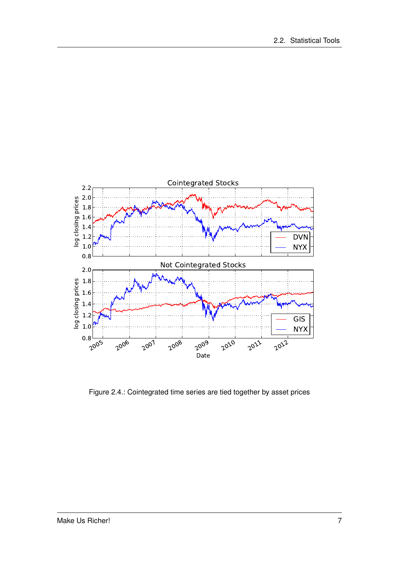

Figure 2.4.: Cointegrated time series are tied together by asset prices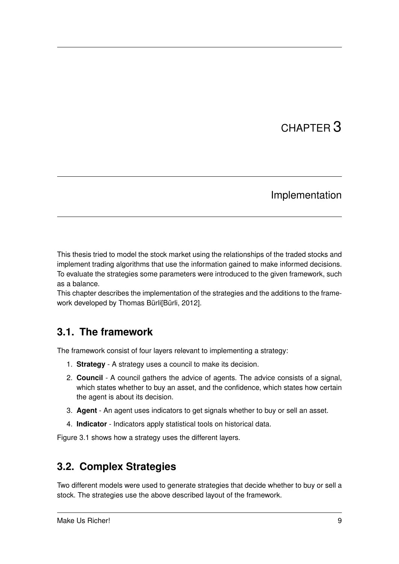# CHAPTER 3

## Implementation

This thesis tried to model the stock market using the relationships of the traded stocks and implement trading algorithms that use the information gained to make informed decisions. To evaluate the strategies some parameters were introduced to the given framework, such as a balance.

This chapter describes the implementation of the strategies and the additions to the framework developed by Thomas Bürli[Bürli, 2012].

## **3.1. The framework**

The framework consist of four layers relevant to implementing a strategy:

- 1. **Strategy** A strategy uses a council to make its decision.
- 2. **Council** A council gathers the advice of agents. The advice consists of a signal, which states whether to buy an asset, and the confidence, which states how certain the agent is about its decision.
- 3. **Agent** An agent uses indicators to get signals whether to buy or sell an asset.
- 4. **Indicator** Indicators apply statistical tools on historical data.

Figure 3.1 shows how a strategy uses the different layers.

## **3.2. Complex Strategies**

Two different models were used to generate strategies that decide whether to buy or sell a stock. The strategies use the above described layout of the framework.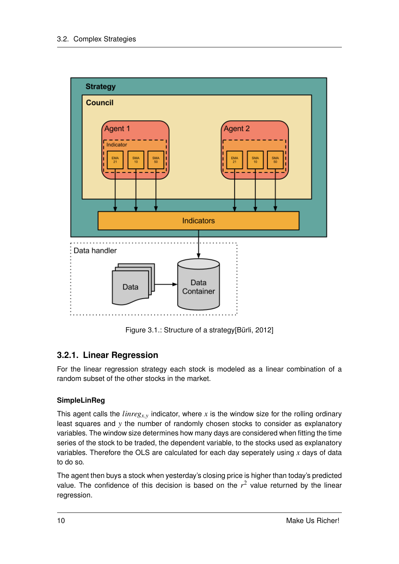

Figure 3.1.: Structure of a strategy[Bürli, 2012]

### **3.2.1. Linear Regression**

For the linear regression strategy each stock is modeled as a linear combination of a random subset of the other stocks in the market.

#### **SimpleLinReg**

This agent calls the *linreg<sub><i>x*,*y*</sub> indicator, where *x* is the window size for the rolling ordinary least squares and *y* the number of randomly chosen stocks to consider as explanatory variables. The window size determines how many days are considered when fitting the time series of the stock to be traded, the dependent variable, to the stocks used as explanatory variables. Therefore the OLS are calculated for each day seperately using *x* days of data to do so.

The agent then buys a stock when yesterday's closing price is higher than today's predicted value. The confidence of this decision is based on the  $r<sup>2</sup>$  value returned by the linear regression.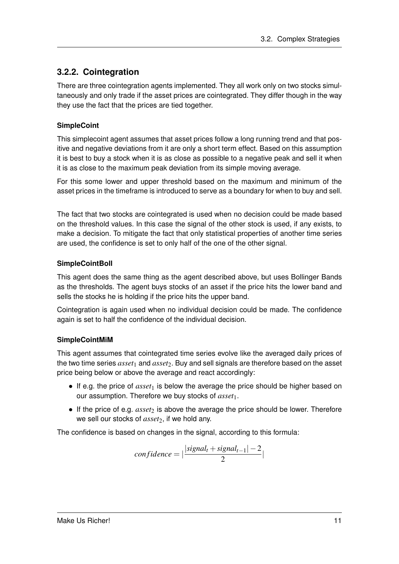### **3.2.2. Cointegration**

There are three cointegration agents implemented. They all work only on two stocks simultaneously and only trade if the asset prices are cointegrated. They differ though in the way they use the fact that the prices are tied together.

#### **SimpleCoint**

This simplecoint agent assumes that asset prices follow a long running trend and that positive and negative deviations from it are only a short term effect. Based on this assumption it is best to buy a stock when it is as close as possible to a negative peak and sell it when it is as close to the maximum peak deviation from its simple moving average.

For this some lower and upper threshold based on the maximum and minimum of the asset prices in the timeframe is introduced to serve as a boundary for when to buy and sell.

The fact that two stocks are cointegrated is used when no decision could be made based on the threshold values. In this case the signal of the other stock is used, if any exists, to make a decision. To mitigate the fact that only statistical properties of another time series are used, the confidence is set to only half of the one of the other signal.

#### **SimpleCointBoll**

This agent does the same thing as the agent described above, but uses Bollinger Bands as the thresholds. The agent buys stocks of an asset if the price hits the lower band and sells the stocks he is holding if the price hits the upper band.

Cointegration is again used when no individual decision could be made. The confidence again is set to half the confidence of the individual decision.

#### **SimpleCointMiM**

This agent assumes that cointegrated time series evolve like the averaged daily prices of the two time series *asset*<sup>1</sup> and *asset*2. Buy and sell signals are therefore based on the asset price being below or above the average and react accordingly:

- If e.g. the price of *asset*<sub>1</sub> is below the average the price should be higher based on our assumption. Therefore we buy stocks of *asset*1.
- $\bullet$  If the price of e.g. *asset*<sub>2</sub> is above the average the price should be lower. Therefore we sell our stocks of *asset*<sub>2</sub>, if we hold any.

The confidence is based on changes in the signal, according to this formula:

$$
confidence = |\frac{|signal_t + signal_{t-1}| - 2}{2}|
$$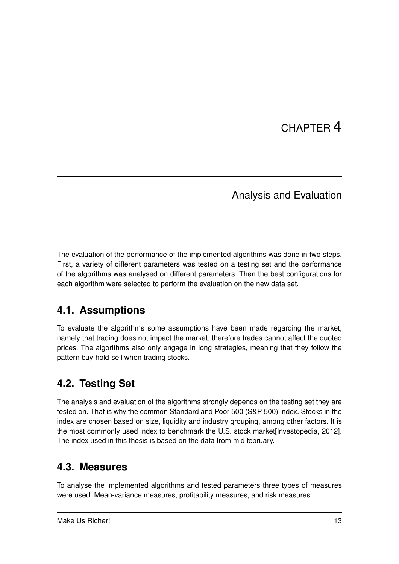# CHAPTER 4

## Analysis and Evaluation

The evaluation of the performance of the implemented algorithms was done in two steps. First, a variety of different parameters was tested on a testing set and the performance of the algorithms was analysed on different parameters. Then the best configurations for each algorithm were selected to perform the evaluation on the new data set.

# **4.1. Assumptions**

To evaluate the algorithms some assumptions have been made regarding the market, namely that trading does not impact the market, therefore trades cannot affect the quoted prices. The algorithms also only engage in long strategies, meaning that they follow the pattern buy-hold-sell when trading stocks.

# **4.2. Testing Set**

The analysis and evaluation of the algorithms strongly depends on the testing set they are tested on. That is why the common Standard and Poor 500 (S&P 500) index. Stocks in the index are chosen based on size, liquidity and industry grouping, among other factors. It is the most commonly used index to benchmark the U.S. stock market[Investopedia, 2012]. The index used in this thesis is based on the data from mid february.

## **4.3. Measures**

To analyse the implemented algorithms and tested parameters three types of measures were used: Mean-variance measures, profitability measures, and risk measures.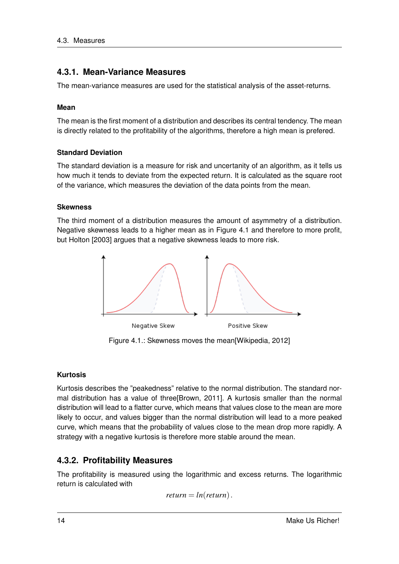#### **4.3.1. Mean-Variance Measures**

The mean-variance measures are used for the statistical analysis of the asset-returns.

#### **Mean**

The mean is the first moment of a distribution and describes its central tendency. The mean is directly related to the profitability of the algorithms, therefore a high mean is prefered.

#### **Standard Deviation**

The standard deviation is a measure for risk and uncertanity of an algorithm, as it tells us how much it tends to deviate from the expected return. It is calculated as the square root of the variance, which measures the deviation of the data points from the mean.

#### **Skewness**

The third moment of a distribution measures the amount of asymmetry of a distribution. Negative skewness leads to a higher mean as in Figure 4.1 and therefore to more profit, but Holton [2003] argues that a negative skewness leads to more risk.



Figure 4.1.: Skewness moves the mean[Wikipedia, 2012]

#### **Kurtosis**

Kurtosis describes the "peakedness" relative to the normal distribution. The standard normal distribution has a value of three[Brown, 2011]. A kurtosis smaller than the normal distribution will lead to a flatter curve, which means that values close to the mean are more likely to occur, and values bigger than the normal distribution will lead to a more peaked curve, which means that the probability of values close to the mean drop more rapidly. A strategy with a negative kurtosis is therefore more stable around the mean.

#### **4.3.2. Profitability Measures**

The profitability is measured using the logarithmic and excess returns. The logarithmic return is calculated with

```
return = ln(return).
```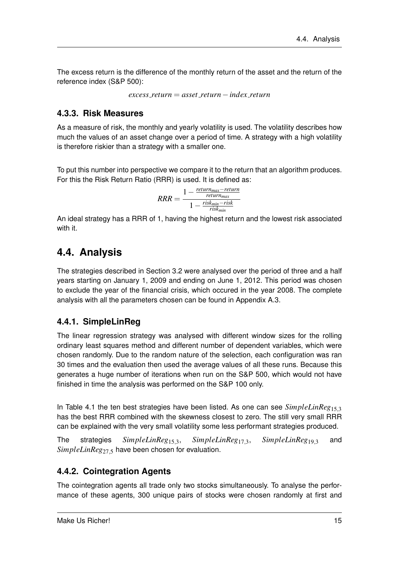The excess return is the difference of the monthly return of the asset and the return of the reference index (S&P 500):

*excess return* = *asset return*−*index return*

### **4.3.3. Risk Measures**

As a measure of risk, the monthly and yearly volatility is used. The volatility describes how much the values of an asset change over a period of time. A strategy with a high volatility is therefore riskier than a strategy with a smaller one.

To put this number into perspective we compare it to the return that an algorithm produces. For this the Risk Return Ratio (RRR) is used. It is defined as:

> $RRR = \frac{1 - \frac{return_{max} - return_{max}}{return_{max}}}{\frac{right}{\frac{right}{} + \frac{right} - risk}{}$ 1− *riskmin*−*risk riskmin*

An ideal strategy has a RRR of 1, having the highest return and the lowest risk associated with it.

## **4.4. Analysis**

The strategies described in Section 3.2 were analysed over the period of three and a half years starting on January 1, 2009 and ending on June 1, 2012. This period was chosen to exclude the year of the financial crisis, which occured in the year 2008. The complete analysis with all the parameters chosen can be found in Appendix A.3.

### **4.4.1. SimpleLinReg**

The linear regression strategy was analysed with different window sizes for the rolling ordinary least squares method and different number of dependent variables, which were chosen randomly. Due to the random nature of the selection, each configuration was ran 30 times and the evaluation then used the average values of all these runs. Because this generates a huge number of iterations when run on the S&P 500, which would not have finished in time the analysis was performed on the S&P 100 only.

In Table 4.1 the ten best strategies have been listed. As one can see *SimpleLinReg*15,<sup>3</sup> has the best RRR combined with the skewness closest to zero. The still very small RRR can be explained with the very small volatility some less performant strategies produced.

The strategies *SimpleLinReg*15,3, *SimpleLinReg*17,3, *SimpleLinReg*19,<sup>3</sup> and *SimpleLinReg*27,<sup>5</sup> have been chosen for evaluation.

### **4.4.2. Cointegration Agents**

The cointegration agents all trade only two stocks simultaneously. To analyse the performance of these agents, 300 unique pairs of stocks were chosen randomly at first and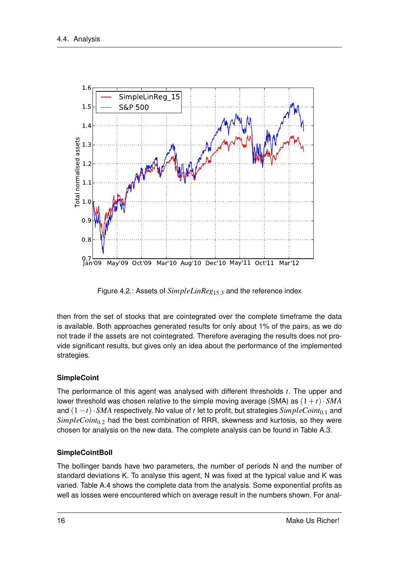

Figure 4.2.: Assets of *SimpleLinReg*<sub>15,3</sub> and the reference index

then from the set of stocks that are cointegrated over the complete timeframe the data is available. Both approaches generated results for only about 1% of the pairs, as we do not trade if the assets are not cointegrated. Therefore averaging the results does not provide significant results, but gives only an idea about the performance of the implemented strategies.

#### **SimpleCoint**

The performance of this agent was analysed with different thresholds *t*. The upper and lower threshold was chosen relative to the simple moving average (SMA) as  $(1+t) \cdot SMA$ and (1−*t*)· *SMA* respectively. No value of *t* let to profit, but strategies *SimpleCoint*0.<sup>1</sup> and *SimpleCoint*0.<sup>2</sup> had the best combination of RRR, skewness and kurtosis, so they were chosen for analysis on the new data. The complete analysis can be found in Table A.3.

#### **SimpleCointBoll**

The bollinger bands have two parameters, the number of periods N and the number of standard deviations K. To analyse this agent, N was fixed at the typical value and K was varied. Table A.4 shows the complete data from the analysis. Some exponential profits as well as losses were encountered which on average result in the numbers shown. For anal-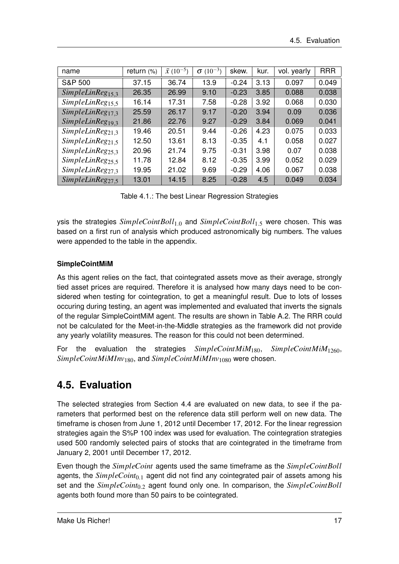| name                          | return (%) | $\bar{x}$ (10 <sup>-5</sup> ) | $(10^{-3})$<br>σ | skew.   | kur. | vol. yearly | <b>RRR</b> |
|-------------------------------|------------|-------------------------------|------------------|---------|------|-------------|------------|
| <b>S&amp;P 500</b>            | 37.15      | 36.74                         | 13.9             | $-0.24$ | 3.13 | 0.097       | 0.049      |
| SimpleLinReg <sub>15.3</sub>  | 26.35      | 26.99                         | 9.10             | $-0.23$ | 3.85 | 0.088       | 0.038      |
| Simple LinReg <sub>15.5</sub> | 16.14      | 17.31                         | 7.58             | $-0.28$ | 3.92 | 0.068       | 0.030      |
| SimpleLinReg <sub>17.3</sub>  | 25.59      | 26.17                         | 9.17             | $-0.20$ | 3.94 | 0.09        | 0.036      |
| SimpleLinReg <sub>19.3</sub>  | 21.86      | 22.76                         | 9.27             | $-0.29$ | 3.84 | 0.069       | 0.041      |
| SimpleLinReg <sub>21,3</sub>  | 19.46      | 20.51                         | 9.44             | $-0.26$ | 4.23 | 0.075       | 0.033      |
| SimpleLinReg <sub>21.5</sub>  | 12.50      | 13.61                         | 8.13             | $-0.35$ | 4.1  | 0.058       | 0.027      |
| SimpleLinReg <sub>25.3</sub>  | 20.96      | 21.74                         | 9.75             | $-0.31$ | 3.98 | 0.07        | 0.038      |
| SimpleLinReg <sub>25.5</sub>  | 11.78      | 12.84                         | 8.12             | $-0.35$ | 3.99 | 0.052       | 0.029      |
| SimpleLinReg <sub>27,3</sub>  | 19.95      | 21.02                         | 9.69             | $-0.29$ | 4.06 | 0.067       | 0.038      |
| SimpleLinReg <sub>27.5</sub>  | 13.01      | 14.15                         | 8.25             | $-0.28$ | 4.5  | 0.049       | 0.034      |

Table 4.1.: The best Linear Regression Strategies

ysis the strategies *SimpleCointBoll*1.<sup>0</sup> and *SimpleCointBoll*1.<sup>5</sup> were chosen. This was based on a first run of analysis which produced astronomically big numbers. The values were appended to the table in the appendix.

#### **SimpleCointMiM**

As this agent relies on the fact, that cointegrated assets move as their average, strongly tied asset prices are required. Therefore it is analysed how many days need to be considered when testing for cointegration, to get a meaningful result. Due to lots of losses occuring during testing, an agent was implemented and evaluated that inverts the signals of the regular SimpleCointMiM agent. The results are shown in Table A.2. The RRR could not be calculated for the Meet-in-the-Middle strategies as the framework did not provide any yearly volatility measures. The reason for this could not been determined.

For the evaluation the strategies *SimpleCointMiM*180, *SimpleCointMiM*1260, *SimpleCointMiMInv*180, and *SimpleCointMiMInv*<sup>1080</sup> were chosen.

## **4.5. Evaluation**

The selected strategies from Section 4.4 are evaluated on new data, to see if the parameters that performed best on the reference data still perform well on new data. The timeframe is chosen from June 1, 2012 until December 17, 2012. For the linear regression strategies again the S%P 100 index was used for evaluation. The cointegration strategies used 500 randomly selected pairs of stocks that are cointegrated in the timeframe from January 2, 2001 until December 17, 2012.

Even though the *SimpleCoint* agents used the same timeframe as the *SimpleCointBoll* agents, the *SimpleCoint*0.<sup>1</sup> agent did not find any cointegrated pair of assets among his set and the *SimpleCoint*0.<sup>2</sup> agent found only one. In comparison, the *SimpleCointBoll* agents both found more than 50 pairs to be cointegrated.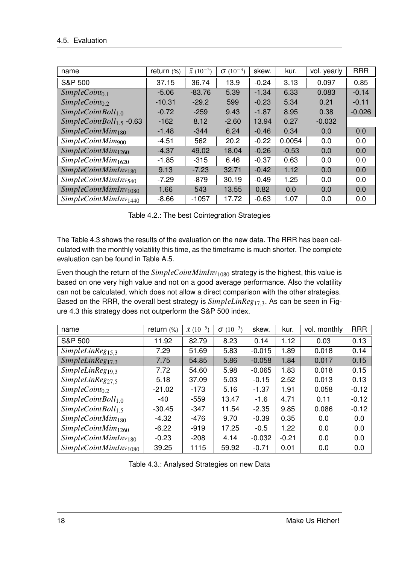| name                              | return $(\%)$ | $\bar{x}$ (10 <sup>-5</sup> ) | $\sigma$ (10 <sup>-3</sup> ) | skew.   | kur.    | vol. yearly | <b>RRR</b> |
|-----------------------------------|---------------|-------------------------------|------------------------------|---------|---------|-------------|------------|
| <b>S&amp;P 500</b>                | 37.15         | 36.74                         | 13.9                         | $-0.24$ | 3.13    | 0.097       | 0.85       |
| $SimpleCoint_{0.1}$               | $-5.06$       | $-83.76$                      | 5.39                         | $-1.34$ | 6.33    | 0.083       | $-0.14$    |
| $SimpleCoint_{0.2}$               | $-10.31$      | $-29.2$                       | 599                          | $-0.23$ | 5.34    | 0.21        | $-0.11$    |
| SimpleCointBoll <sub>1.0</sub>    | $-0.72$       | $-259$                        | 9.43                         | $-1.87$ | 8.95    | 0.38        | $-0.026$   |
| $SimpleCointBoll_{1.5}$ -0.63     | $-162$        | 8.12                          | $-2.60$                      | 13.94   | 0.27    | $-0.032$    |            |
| SimpleCointMim <sub>180</sub>     | $-1.48$       | $-344$                        | 6.24                         | $-0.46$ | 0.34    | 0.0         | 0.0        |
| $SimpleCointM$ im <sub>900</sub>  | $-4.51$       | 562                           | 20.2                         | $-0.22$ | 0.0054  | 0.0         | 0.0        |
| SimpleCointMin <sub>1260</sub>    | $-4.37$       | 49.02                         | 18.04                        | $-0.26$ | $-0.53$ | 0.0         | 0.0        |
| SimpleCointMin <sub>1620</sub>    | $-1.85$       | $-315$                        | 6.46                         | $-0.37$ | 0.63    | 0.0         | 0.0        |
| SimpleCointMimInv <sub>180</sub>  | 9.13          | $-7.23$                       | 32.71                        | $-0.42$ | 1.12    | 0.0         | 0.0        |
| $SimpleCointMimInv_{540}$         | $-7.29$       | $-879$                        | 30.19                        | $-0.49$ | 1.25    | 0.0         | 0.0        |
| SimpleCointMimInv <sub>1080</sub> | 1.66          | 543                           | 13.55                        | 0.82    | 0.0     | 0.0         | 0.0        |
| SimpleCointMimInv <sub>1440</sub> | $-8.66$       | -1057                         | 17.72                        | $-0.63$ | 1.07    | 0.0         | 0.0        |

Table 4.2.: The best Cointegration Strategies

The Table 4.3 shows the results of the evaluation on the new data. The RRR has been calculated with the monthly volatility this time, as the timeframe is much shorter. The complete evaluation can be found in Table A.5.

Even though the return of the *SimpleCointMimInv*<sup>1080</sup> strategy is the highest, this value is based on one very high value and not on a good average performance. Also the volatility can not be calculated, which does not allow a direct comparison with the other strategies. Based on the RRR, the overall best strategy is *SimpleLinReg*17,3. As can be seen in Figure 4.3 this strategy does not outperform the S&P 500 index.

| name                              | return $(\%)$ | $\bar{x}$ (10 <sup>-5</sup> ) | $(10^{-3})$<br>$\sigma$ | skew.    | kur.    | vol. monthly | <b>RRR</b> |
|-----------------------------------|---------------|-------------------------------|-------------------------|----------|---------|--------------|------------|
| <b>S&amp;P 500</b>                | 11.92         | 82.79                         | 8.23                    | 0.14     | 1.12    | 0.03         | 0.13       |
| SimpleLinReg <sub>15,3</sub>      | 7.29          | 51.69                         | 5.83                    | $-0.015$ | 1.89    | 0.018        | 0.14       |
| SimpleLinReg <sub>17.3</sub>      | 7.75          | 54.85                         | 5.86                    | $-0.058$ | 1.84    | 0.017        | 0.15       |
| SimpleLinReg <sub>19,3</sub>      | 7.72          | 54.60                         | 5.98                    | $-0.065$ | 1.83    | 0.018        | 0.15       |
| SimpleLinReg <sub>27.5</sub>      | 5.18          | 37.09                         | 5.03                    | $-0.15$  | 2.52    | 0.013        | 0.13       |
| $SimpleCoint_{0.2}$               | $-21.02$      | $-173$                        | 5.16                    | $-1.37$  | 1.91    | 0.058        | $-0.12$    |
| SimpleCointBoll <sub>1.0</sub>    | -40           | $-559$                        | 13.47                   | $-1.6$   | 4.71    | 0.11         | $-0.12$    |
| SimpleCointBoll <sub>1.5</sub>    | $-30.45$      | $-347$                        | 11.54                   | $-2.35$  | 9.85    | 0.086        | $-0.12$    |
| SimpleCointMim <sub>180</sub>     | $-4.32$       | -476                          | 9.70                    | $-0.39$  | 0.35    | 0.0          | 0.0        |
| SimpleCointMin <sub>1260</sub>    | $-6.22$       | $-919$                        | 17.25                   | $-0.5$   | 1.22    | 0.0          | 0.0        |
| SimpleCointMimInv <sub>180</sub>  | $-0.23$       | $-208$                        | 4.14                    | $-0.032$ | $-0.21$ | 0.0          | 0.0        |
| SimpleCointMimInv <sub>1080</sub> | 39.25         | 1115                          | 59.92                   | $-0.71$  | 0.01    | 0.0          | 0.0        |

Table 4.3.: Analysed Strategies on new Data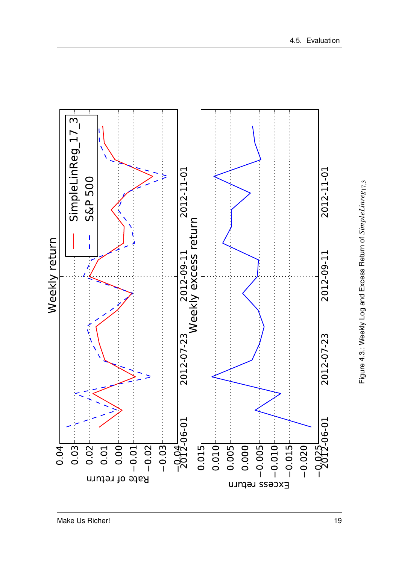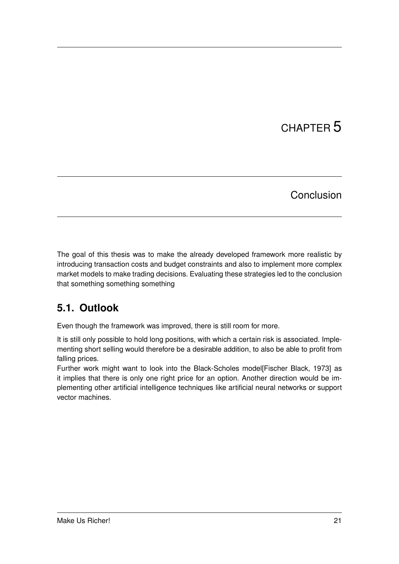# CHAPTER 5

## Conclusion

The goal of this thesis was to make the already developed framework more realistic by introducing transaction costs and budget constraints and also to implement more complex market models to make trading decisions. Evaluating these strategies led to the conclusion that something something something

# **5.1. Outlook**

Even though the framework was improved, there is still room for more.

It is still only possible to hold long positions, with which a certain risk is associated. Implementing short selling would therefore be a desirable addition, to also be able to profit from falling prices.

Further work might want to look into the Black-Scholes model[Fischer Black, 1973] as it implies that there is only one right price for an option. Another direction would be implementing other artificial intelligence techniques like artificial neural networks or support vector machines.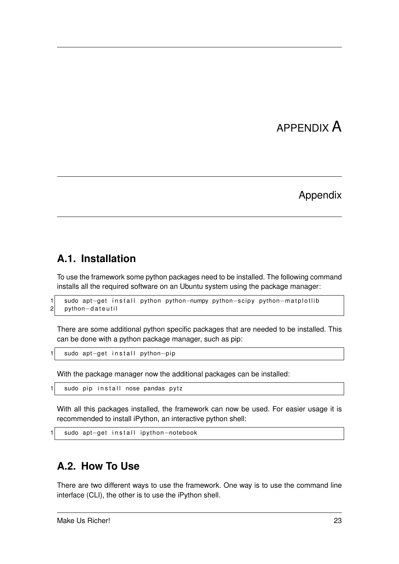# APPENDIX A

### Appendix

## **A.1. Installation**

To use the framework some python packages need to be installed. The following command installs all the required software on an Ubuntu system using the package manager:

```
1 sudo apt−get install python python-numpy python-scipy python-matplotlib<br>2 python-dateutil
    python-dateutil
```
There are some additional python specific packages that are needed to be installed. This can be done with a python package manager, such as pip:

```
sudo apt-get in stall python-pip
```
With the package manager now the additional packages can be installed:

```
sudo pip in stall nose pandas pytz
```
With all this packages installed, the framework can now be used. For easier usage it is recommended to install iPython, an interactive python shell:

```
sudo apt-get install ipython-notebook
```
## **A.2. How To Use**

There are two different ways to use the framework. One way is to use the command line interface (CLI), the other is to use the iPython shell.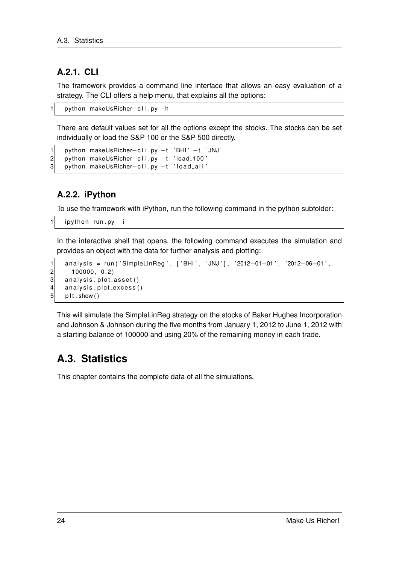## **A.2.1. CLI**

The framework provides a command line interface that allows an easy evaluation of a strategy. The CLI offers a help menu, that explains all the options:

```
1 python makeUsRicher–cli.py −h
```
There are default values set for all the options except the stocks. The stocks can be set individually or load the S&P 100 or the S&P 500 directly.

```
1 python makeUsRicher–cli.py −t 'BHI' −t 'JNJ'<br>2 python makeUsRicher–cli.py −t 'load_100'
2 python makeUsRicher–cli.py -t 'load_100'<br>3 python makeUsRicher–cli.py -t 'load_all'
      python makeUsRicher-cli.py -t 'load_all'
```
### **A.2.2. iPython**

To use the framework with iPython, run the following command in the python subfolder:

```
i python run. py -i
```
In the interactive shell that opens, the following command executes the simulation and provides an object with the data for further analysis and plotting:

```
1 analysis = run ('SimpleLinReg', ['BHI', 'JNJ'], '2012-01-01', '2012-06-01', 100000, 0.2)
      100000, 0.23 analysis.plot_asset()
4 analysis.plot_excess()
5 plt . show ()
```
This will simulate the SimpleLinReg strategy on the stocks of Baker Hughes Incorporation and Johnson & Johnson during the five months from January 1, 2012 to June 1, 2012 with a starting balance of 100000 and using 20% of the remaining money in each trade.

## **A.3. Statistics**

This chapter contains the complete data of all the simulations.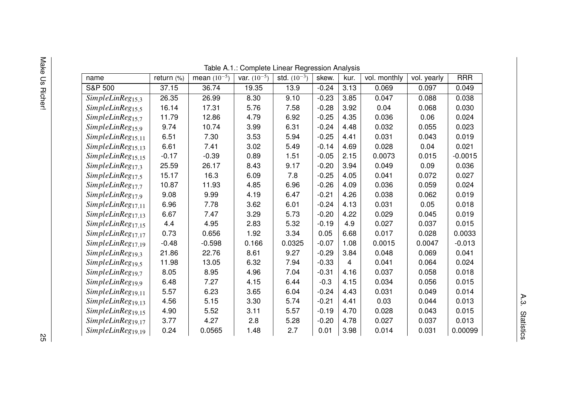| C      |  |
|--------|--|
| ō<br>n |  |
|        |  |

| name                          | return $(\%)$ | mean $(10^{-5})$ | var. $(10^{-5})$ | std. $(10^{-3})$ | skew.   | kur. | vol. monthly | vol. yearly | <b>RRR</b> |
|-------------------------------|---------------|------------------|------------------|------------------|---------|------|--------------|-------------|------------|
| <b>S&amp;P 500</b>            | 37.15         | 36.74            | 19.35            | 13.9             | $-0.24$ | 3.13 | 0.069        | 0.097       | 0.049      |
| SimpleLinReg <sub>15,3</sub>  | 26.35         | 26.99            | 8.30             | 9.10             | $-0.23$ | 3.85 | 0.047        | 0.088       | 0.038      |
| SimpleLinReg <sub>15,5</sub>  | 16.14         | 17.31            | 5.76             | 7.58             | $-0.28$ | 3.92 | 0.04         | 0.068       | 0.030      |
| SimpleLinReg <sub>15.7</sub>  | 11.79         | 12.86            | 4.79             | 6.92             | $-0.25$ | 4.35 | 0.036        | 0.06        | 0.024      |
| SimpleLinReg <sub>15,9</sub>  | 9.74          | 10.74            | 3.99             | 6.31             | $-0.24$ | 4.48 | 0.032        | 0.055       | 0.023      |
| SimpleLinReg <sub>15,11</sub> | 6.51          | 7.30             | 3.53             | 5.94             | $-0.25$ | 4.41 | 0.031        | 0.043       | 0.019      |
| SimpleLinReg <sub>15,13</sub> | 6.61          | 7.41             | 3.02             | 5.49             | $-0.14$ | 4.69 | 0.028        | 0.04        | 0.021      |
| SimpleLinReg <sub>15,15</sub> | $-0.17$       | $-0.39$          | 0.89             | 1.51             | $-0.05$ | 2.15 | 0.0073       | 0.015       | $-0.0015$  |
| SimpleLinReg <sub>17.3</sub>  | 25.59         | 26.17            | 8.43             | 9.17             | $-0.20$ | 3.94 | 0.049        | 0.09        | 0.036      |
| SimpleLinReg <sub>17,5</sub>  | 15.17         | 16.3             | 6.09             | 7.8              | $-0.25$ | 4.05 | 0.041        | 0.072       | 0.027      |
| SimpleLinReg <sub>17,7</sub>  | 10.87         | 11.93            | 4.85             | 6.96             | $-0.26$ | 4.09 | 0.036        | 0.059       | 0.024      |
| SimpleLinReg <sub>17.9</sub>  | 9.08          | 9.99             | 4.19             | 6.47             | $-0.21$ | 4.26 | 0.038        | 0.062       | 0.019      |
| SimpleLinReg <sub>17,11</sub> | 6.96          | 7.78             | 3.62             | 6.01             | $-0.24$ | 4.13 | 0.031        | 0.05        | 0.018      |
| SimpleLinReg <sub>17,13</sub> | 6.67          | 7.47             | 3.29             | 5.73             | $-0.20$ | 4.22 | 0.029        | 0.045       | 0.019      |
| SimpleLinReg <sub>17,15</sub> | 4.4           | 4.95             | 2.83             | 5.32             | $-0.19$ | 4.9  | 0.027        | 0.037       | 0.015      |
| SimpleLinReg <sub>17,17</sub> | 0.73          | 0.656            | 1.92             | 3.34             | 0.05    | 6.68 | 0.017        | 0.028       | 0.0033     |
| SimpleLinReg <sub>17,19</sub> | $-0.48$       | $-0.598$         | 0.166            | 0.0325           | $-0.07$ | 1.08 | 0.0015       | 0.0047      | $-0.013$   |
| SimpleLinReg <sub>19,3</sub>  | 21.86         | 22.76            | 8.61             | 9.27             | $-0.29$ | 3.84 | 0.048        | 0.069       | 0.041      |
| SimpleLinReg <sub>19,5</sub>  | 11.98         | 13.05            | 6.32             | 7.94             | $-0.33$ | 4    | 0.041        | 0.064       | 0.024      |
| SimpleLinReg <sub>19,7</sub>  | 8.05          | 8.95             | 4.96             | 7.04             | $-0.31$ | 4.16 | 0.037        | 0.058       | 0.018      |
| SimpleLinReg <sub>19.9</sub>  | 6.48          | 7.27             | 4.15             | 6.44             | $-0.3$  | 4.15 | 0.034        | 0.056       | 0.015      |
| SimpleLinReg <sub>19,11</sub> | 5.57          | 6.23             | 3.65             | 6.04             | $-0.24$ | 4.43 | 0.031        | 0.049       | 0.014      |
| SimpleLinReg <sub>19,13</sub> | 4.56          | 5.15             | 3.30             | 5.74             | $-0.21$ | 4.41 | 0.03         | 0.044       | 0.013      |
| SimpleLinReg <sub>19,15</sub> | 4.90          | 5.52             | 3.11             | 5.57             | $-0.19$ | 4.70 | 0.028        | 0.043       | 0.015      |
| SimpleLinReg <sub>19,17</sub> | 3.77          | 4.27             | 2.8              | 5.28             | $-0.20$ | 4.78 | 0.027        | 0.037       | 0.013      |
| SimpleLinReg <sub>19,19</sub> | 0.24          | 0.0565           | 1.48             | 2.7              | 0.01    | 3.98 | 0.014        | 0.031       | 0.00099    |

Table A.1.: Complete Linear Regression Analysis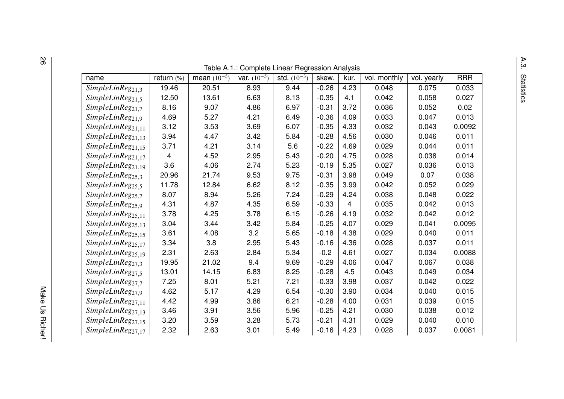|                                  |               |                  | Table A.1.: Complete Linear Regression Analysis |                  |         |      |              |             |            |
|----------------------------------|---------------|------------------|-------------------------------------------------|------------------|---------|------|--------------|-------------|------------|
| name                             | return $(\%)$ | mean $(10^{-5})$ | var. $(10^{-5})$                                | std. $(10^{-3})$ | skew.   | kur. | vol. monthly | vol. yearly | <b>RRR</b> |
| $\overline{SimpleLinReg}_{21,3}$ | 19.46         | 20.51            | 8.93                                            | 9.44             | $-0.26$ | 4.23 | 0.048        | 0.075       | 0.033      |
| SimpleLinReg <sub>21,5</sub>     | 12.50         | 13.61            | 6.63                                            | 8.13             | $-0.35$ | 4.1  | 0.042        | 0.058       | 0.027      |
| SimpleLinReg <sub>21,7</sub>     | 8.16          | 9.07             | 4.86                                            | 6.97             | $-0.31$ | 3.72 | 0.036        | 0.052       | 0.02       |
| SimpleLinReg <sub>21,9</sub>     | 4.69          | 5.27             | 4.21                                            | 6.49             | $-0.36$ | 4.09 | 0.033        | 0.047       | 0.013      |
| SimpleLinReg <sub>21,11</sub>    | 3.12          | 3.53             | 3.69                                            | 6.07             | $-0.35$ | 4.33 | 0.032        | 0.043       | 0.0092     |
| SimpleLinReg <sub>21,13</sub>    | 3.94          | 4.47             | 3.42                                            | 5.84             | $-0.28$ | 4.56 | 0.030        | 0.046       | 0.011      |
| SimpleLinReg <sub>21,15</sub>    | 3.71          | 4.21             | 3.14                                            | 5.6              | $-0.22$ | 4.69 | 0.029        | 0.044       | 0.011      |
| SimpleLinReg <sub>21,17</sub>    | 4             | 4.52             | 2.95                                            | 5.43             | $-0.20$ | 4.75 | 0.028        | 0.038       | 0.014      |
| SimpleLinReg <sub>21,19</sub>    | 3.6           | 4.06             | 2.74                                            | 5.23             | $-0.19$ | 5.35 | 0.027        | 0.036       | 0.013      |
| SimpleLinReg <sub>25.3</sub>     | 20.96         | 21.74            | 9.53                                            | 9.75             | $-0.31$ | 3.98 | 0.049        | 0.07        | 0.038      |
| SimpleLinReg <sub>25,5</sub>     | 11.78         | 12.84            | 6.62                                            | 8.12             | $-0.35$ | 3.99 | 0.042        | 0.052       | 0.029      |
| $SimpleLinReg_{25,7}$            | 8.07          | 8.94             | 5.26                                            | 7.24             | $-0.29$ | 4.24 | 0.038        | 0.048       | 0.022      |
| SimpleLinReg <sub>25,9</sub>     | 4.31          | 4.87             | 4.35                                            | 6.59             | $-0.33$ | 4    | 0.035        | 0.042       | 0.013      |
| SimpleLinReg <sub>25,11</sub>    | 3.78          | 4.25             | 3.78                                            | 6.15             | $-0.26$ | 4.19 | 0.032        | 0.042       | 0.012      |
| $SimpleLinReg_{25,13}$           | 3.04          | 3.44             | 3.42                                            | 5.84             | $-0.25$ | 4.07 | 0.029        | 0.041       | 0.0095     |
| SimpleLinReg <sub>25,15</sub>    | 3.61          | 4.08             | 3.2                                             | 5.65             | $-0.18$ | 4.38 | 0.029        | 0.040       | 0.011      |
| $SimpleLinReg_{25,17}$           | 3.34          | 3.8              | 2.95                                            | 5.43             | $-0.16$ | 4.36 | 0.028        | 0.037       | 0.011      |
| SimpleLinReg <sub>25,19</sub>    | 2.31          | 2.63             | 2.84                                            | 5.34             | $-0.2$  | 4.61 | 0.027        | 0.034       | 0.0088     |
| SimpleLinReg <sub>27,3</sub>     | 19.95         | 21.02            | 9.4                                             | 9.69             | $-0.29$ | 4.06 | 0.047        | 0.067       | 0.038      |
| SimpleLinReg <sub>27,5</sub>     | 13.01         | 14.15            | 6.83                                            | 8.25             | $-0.28$ | 4.5  | 0.043        | 0.049       | 0.034      |
| SimpleLinReg <sub>27.7</sub>     | 7.25          | 8.01             | 5.21                                            | 7.21             | $-0.33$ | 3.98 | 0.037        | 0.042       | 0.022      |
| $SimpleLinReg_{27,9}$            | 4.62          | 5.17             | 4.29                                            | 6.54             | $-0.30$ | 3.90 | 0.034        | 0.040       | 0.015      |
| $SimpleLinReg_{27,11}$           | 4.42          | 4.99             | 3.86                                            | 6.21             | $-0.28$ | 4.00 | 0.031        | 0.039       | 0.015      |
| SimpleLinReg <sub>27,13</sub>    | 3.46          | 3.91             | 3.56                                            | 5.96             | $-0.25$ | 4.21 | 0.030        | 0.038       | 0.012      |
| SimpleLinReg <sub>27,15</sub>    | 3.20          | 3.59             | 3.28                                            | 5.73             | $-0.21$ | 4.31 | 0.029        | 0.040       | 0.010      |
| $SimpleLinReg_{27,17}$           | 2.32          | 2.63             | 3.01                                            | 5.49             | $-0.16$ | 4.23 | 0.028        | 0.037       | 0.0081     |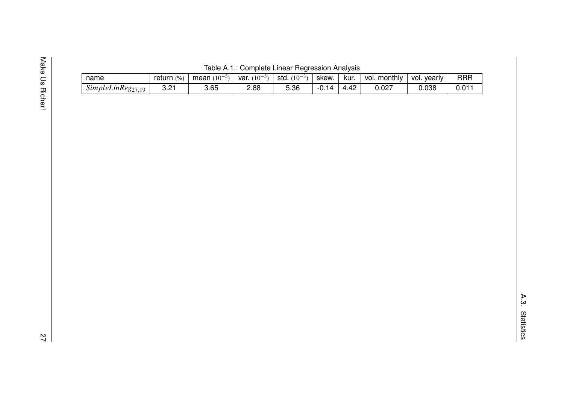| c |  |
|---|--|
| ū |  |
|   |  |

|  |  | Table A.1.: Complete Linear Regression Analysis |  |                                                                                                                                                                                                   |  |
|--|--|-------------------------------------------------|--|---------------------------------------------------------------------------------------------------------------------------------------------------------------------------------------------------|--|
|  |  |                                                 |  | $\left  \right $ roturn (0) $\left  \right $ moon (10-5) $\left  \right $ yor (10-5) $\left $ otd (10-3) $\left  \right $ okow $\left  \right $ kur $\left  \right $ yol monthly $\left  \right $ |  |

| name                                                       | (%<br>return | , $\pm$ mean $(10^{-5})$ | $(10^{-1}$<br>var. | std<br>$(10^{-3})$ | skew. | kur.     | monthly<br>voi. | vearly<br>vol. | <b>RRR</b>    |
|------------------------------------------------------------|--------------|--------------------------|--------------------|--------------------|-------|----------|-----------------|----------------|---------------|
| $\sim$<br>SimpleLinReg <sub>27</sub><br>10<br>. <i>. .</i> | - 01<br>ے.د  | 3.65                     | 2.88               | 5.36               | -0. L | $\Delta$ | 0.027           | 0.038          | $\sim$ $\sim$ |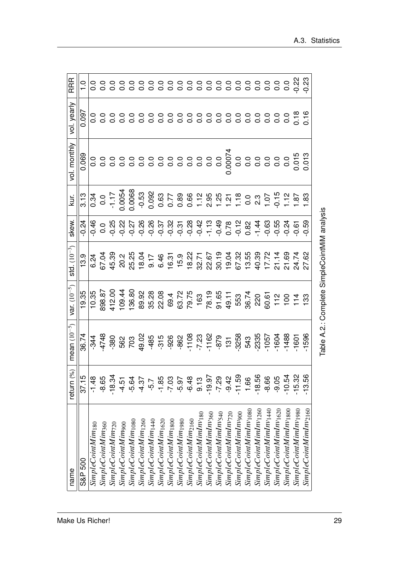| name                              | return (%) | mean $(10^{-5})$ | var. $(10^{-5})$                             | $std. (10^{-3})$ | skew.   | kur.                                                                                                                                                                                                                                                                                                                                                                                                                                                                                                                                                                            | vol. monthly | vol. yearly | <b>RRR</b> |
|-----------------------------------|------------|------------------|----------------------------------------------|------------------|---------|---------------------------------------------------------------------------------------------------------------------------------------------------------------------------------------------------------------------------------------------------------------------------------------------------------------------------------------------------------------------------------------------------------------------------------------------------------------------------------------------------------------------------------------------------------------------------------|--------------|-------------|------------|
| S&P 500                           | 37.15      | 36.74            | 19.35                                        | 13.9             | $-0.24$ |                                                                                                                                                                                                                                                                                                                                                                                                                                                                                                                                                                                 | 0.069        | 0.097       |            |
| SimpleCointMim <sub>180</sub>     | $-1.48$    |                  |                                              |                  |         |                                                                                                                                                                                                                                                                                                                                                                                                                                                                                                                                                                                 |              |             |            |
| SimpleCointMim <sub>360</sub>     | $-8.65$    |                  |                                              |                  |         |                                                                                                                                                                                                                                                                                                                                                                                                                                                                                                                                                                                 |              |             |            |
| SimpleCointMim <sub>720</sub>     | $-18.34$   |                  |                                              |                  |         |                                                                                                                                                                                                                                                                                                                                                                                                                                                                                                                                                                                 |              |             |            |
| SimpleCointMim <sub>900</sub>     | $-4.51$    |                  |                                              |                  |         |                                                                                                                                                                                                                                                                                                                                                                                                                                                                                                                                                                                 |              |             |            |
| $SimpleCointMinimum_{1080}$       | $-5.64$    |                  |                                              |                  |         | $\begin{array}{l l} \hline \pi \cr \hline \sigma \cr \hline \sigma \cr \hline \sigma \cr \hline \sigma \cr \hline \sigma \cr \hline \sigma \cr \hline \sigma \cr \hline \sigma \cr \hline \sigma \cr \hline \sigma \cr \hline \sigma \cr \hline \sigma \cr \hline \sigma \cr \hline \sigma \cr \hline \sigma \cr \hline \sigma \cr \hline \sigma \cr \hline \sigma \cr \hline \sigma \cr \hline \sigma \cr \hline \sigma \cr \hline \sigma \cr \hline \sigma \cr \hline \sigma \cr \hline \sigma \cr \hline \sigma \cr \hline \sigma \cr \hline \sigma \cr \hline \sigma \cr \$ |              |             |            |
| SimpleCointMim <sub>1260</sub>    | $-4.37$    |                  |                                              |                  |         |                                                                                                                                                                                                                                                                                                                                                                                                                                                                                                                                                                                 |              |             |            |
| SimpleCointMim <sub>1440</sub>    | -5.7       |                  |                                              |                  |         |                                                                                                                                                                                                                                                                                                                                                                                                                                                                                                                                                                                 |              |             |            |
| $SimpleCointMinimum_{1620}$       | $-1.85$    |                  |                                              |                  |         |                                                                                                                                                                                                                                                                                                                                                                                                                                                                                                                                                                                 |              |             |            |
| SimpleCointMim <sub>1800</sub>    | $-7.03$    |                  |                                              |                  |         |                                                                                                                                                                                                                                                                                                                                                                                                                                                                                                                                                                                 |              |             |            |
| SimpleCointMim <sub>1980</sub>    | $-5.97$    |                  |                                              |                  |         |                                                                                                                                                                                                                                                                                                                                                                                                                                                                                                                                                                                 |              |             |            |
| SimpleCointMim <sub>2160</sub>    | $-6.48$    |                  |                                              |                  |         |                                                                                                                                                                                                                                                                                                                                                                                                                                                                                                                                                                                 |              |             |            |
| SimpleCointMimInv <sub>180</sub>  | 9.13       |                  |                                              |                  |         |                                                                                                                                                                                                                                                                                                                                                                                                                                                                                                                                                                                 |              |             |            |
| $SimpleCointMinimum_{1860}$       | $-19.97$   |                  |                                              |                  |         |                                                                                                                                                                                                                                                                                                                                                                                                                                                                                                                                                                                 |              |             |            |
| $SimpleCountMinInv_{540}$         | $-7.29$    |                  |                                              |                  |         |                                                                                                                                                                                                                                                                                                                                                                                                                                                                                                                                                                                 |              |             |            |
| SimpleCointMinimumm               | $-9.42$    |                  |                                              |                  |         |                                                                                                                                                                                                                                                                                                                                                                                                                                                                                                                                                                                 |              |             |            |
| SimpleCointMimInv <sub>900</sub>  | $-11.59$   |                  |                                              |                  |         |                                                                                                                                                                                                                                                                                                                                                                                                                                                                                                                                                                                 |              |             |            |
| SimpleCointMimInv <sub>1080</sub> | 1.66       |                  |                                              |                  |         |                                                                                                                                                                                                                                                                                                                                                                                                                                                                                                                                                                                 |              |             |            |
| SimpleCointMimInv <sub>1260</sub> | $-18.56$   |                  |                                              |                  |         |                                                                                                                                                                                                                                                                                                                                                                                                                                                                                                                                                                                 |              |             |            |
| SimpleCointMimInv <sub>1440</sub> | -8.66      |                  |                                              |                  |         |                                                                                                                                                                                                                                                                                                                                                                                                                                                                                                                                                                                 |              |             |            |
| SimpleCointMinimum 1620           | $-9.05$    |                  |                                              |                  |         |                                                                                                                                                                                                                                                                                                                                                                                                                                                                                                                                                                                 |              |             |            |
| SimpleCointMimInv <sub>1800</sub> | $-10.54$   |                  |                                              |                  |         |                                                                                                                                                                                                                                                                                                                                                                                                                                                                                                                                                                                 |              |             |            |
| SimpleCointMimInv <sub>1980</sub> | $-15.32$   |                  |                                              |                  |         |                                                                                                                                                                                                                                                                                                                                                                                                                                                                                                                                                                                 |              |             |            |
| SimpleCointMinimum 1160           | $-13.56$   |                  |                                              |                  |         |                                                                                                                                                                                                                                                                                                                                                                                                                                                                                                                                                                                 |              |             |            |
|                                   |            |                  | Table A.2.: Complete SimpleCointMiM analysis |                  |         |                                                                                                                                                                                                                                                                                                                                                                                                                                                                                                                                                                                 |              |             |            |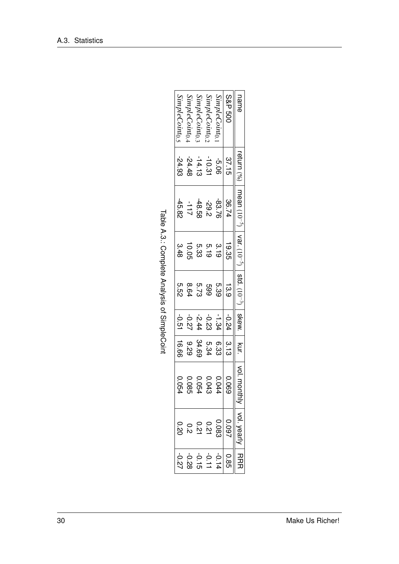| name                       |          | return (%)   mean (10 <sup>-5</sup> )   var. (10 <sup>-5</sup> )   std. (10 <sup>-3)</sup>   skew. |                  |             |         | $\mathbb{R}$ Kur. | $ $ ol. m | l vol. yeal    |                                  |
|----------------------------|----------|----------------------------------------------------------------------------------------------------|------------------|-------------|---------|-------------------|-----------|----------------|----------------------------------|
| <b>S&amp;P 500</b>         | 37.15    | 36.74                                                                                              | 19.35            | 13.9        | -0.24   | 3.13              | 690'0     | 0.097          | 0.85                             |
| SimpleCoint <sub>0.</sub>  | $-5.06$  | -83.76                                                                                             | $\frac{3.19}{2}$ | 5.39        | $-1.34$ | 6.33              | 0.044     | 0.083          | $-0.14$                          |
| SimpleCoint <sub>0.7</sub> | $-10.31$ | -29.2                                                                                              | 5.19<br>5.33     |             | $-0.23$ | 5.34              | 0.043     | 0.21           |                                  |
| SimpleCoint <sub>0.2</sub> | $-14.13$ | -48.58                                                                                             |                  | 599<br>5.73 | $-2.44$ | 34.69             | 0.0<br>54 |                | $60 + 0$<br>$60 - 0$<br>$60 - 0$ |
| SimpleCoint <sub>0.</sub>  | $-24.48$ | $-111$                                                                                             | 10.05            | 8.64        | -0.27   | 676               | 0.0<br>ၛၟ | $0.21$<br>0.21 |                                  |
| SimpleCoint <sub>0.5</sub> | $-24.93$ | $-45.82$                                                                                           | 3.48             | 5.52        | $-0.51$ | 16.66             | ိ<br>ይ    | 02.0           |                                  |

| ֧֧֦֧֧֦֧֦֧֦֧֦֧֦֧֦֧֧֧֧֧֧֧֧֟֟֟֟֟֟֟֟֟֟֬֟֓֟֓֝֟֟֓֝֟֟֝֬֝֓֝֬֝֬֝֬֝֬֝֓֝֟֝֬֝֬֝<br>֧֧֧֧֧֧֧֧֧֪֧֪֚֚֚֚֝֝֝֝֬֝֬֝֬֝֬֝֬֝֬֝ |
|---------------------------------------------------------------------------------------------------------|
|                                                                                                         |
| ١<br>,                                                                                                  |
|                                                                                                         |
| こうこ りりこうりょう こうこうりょう りこうこうりりここ                                                                           |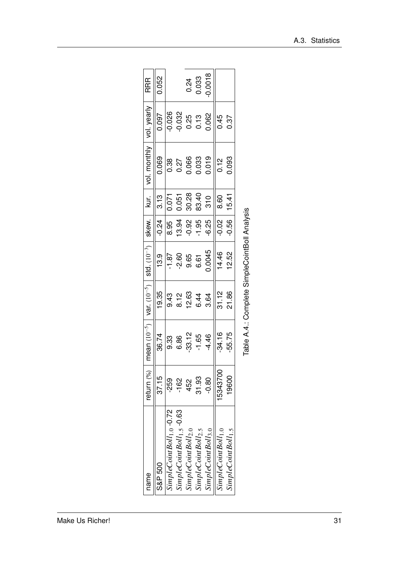| name                                 | return (%)     | mean $(10^{-5})$   var. $(10^{-5})$   std. $(10^{-3})$ |                                     |                                                                                                         | skew.              | kur.                                                              | vol. monthly                                                                    | vol. yearly                                                                               | <b>RRR</b>                                             |
|--------------------------------------|----------------|--------------------------------------------------------|-------------------------------------|---------------------------------------------------------------------------------------------------------|--------------------|-------------------------------------------------------------------|---------------------------------------------------------------------------------|-------------------------------------------------------------------------------------------|--------------------------------------------------------|
| S&P 500                              | 37.15          | 36.74                                                  | 19.35                               | 13.9                                                                                                    | $-24$              |                                                                   |                                                                                 |                                                                                           | 0.052                                                  |
| $simpleCountBoll_{1.0}$ -0.72        | .<br>259       | <br>၁.၁<br>၆.၆<br>၆.၆                                  |                                     |                                                                                                         |                    |                                                                   |                                                                                 |                                                                                           |                                                        |
| $simpleCointBoll_{1.5}$ -0.63        | $\frac{2}{16}$ |                                                        |                                     |                                                                                                         | 8.95<br>13.94      |                                                                   |                                                                                 |                                                                                           |                                                        |
| simpleCointBoll <sub>2.0</sub>       | 452            |                                                        | 9 8 9 9 9<br>9 9 9 9 4<br>9 9 9 9 9 | $\sqrt{\frac{87}{100}}$<br>$\frac{60}{100}$<br>$\frac{65}{100}$<br>$\frac{65}{100}$<br>$\frac{65}{100}$ | $-0.95$<br>$-1.95$ | $\begin{array}{c c} 3.13 \\ 0.071 \\ 0.051 \\ 0.0328 \end{array}$ |                                                                                 |                                                                                           |                                                        |
| <i>impleCointBoll</i> <sub>2.5</sub> | 31.93          | $-33.12$<br>$-1.65$                                    |                                     |                                                                                                         |                    |                                                                   |                                                                                 |                                                                                           | $\begin{array}{c} 0.24 \\ 0.033 \\ 0.0018 \end{array}$ |
| SimpleCointBoll <sub>3.0</sub>       | $-80$          | $-4.46$                                                | 3.64                                |                                                                                                         | $-6.25$            | 83.40<br>310                                                      | $\begin{array}{r} 0.069 \\ 0.38 \\ 0.27 \\ 0.066 \\ 0.033 \\ 0.019 \end{array}$ | $\begin{array}{r} 0.097 \\ 0.026 \\ 0.032 \\ 0.032 \\ 0.13 \\ 0.062 \\ 0.062 \end{array}$ |                                                        |
| simpleCointBoll <sub>1.0</sub>       | 15343700       | $-34.16$                                               | 31.12                               | 14.46                                                                                                   | $-0.02$            | 8.60                                                              | 0.12                                                                            | 0.45                                                                                      |                                                        |
| $SimpleCointBoll_{1.5}$              | 19600          | $-55.75$                                               | 21.86                               | 12.52                                                                                                   | $-0.56$            | 15.41                                                             | 0.093                                                                           | 0.37                                                                                      |                                                        |
|                                      |                |                                                        |                                     |                                                                                                         |                    |                                                                   |                                                                                 |                                                                                           |                                                        |

| י<br>ו             |
|--------------------|
|                    |
| Ò                  |
| ı<br>$\frac{a}{c}$ |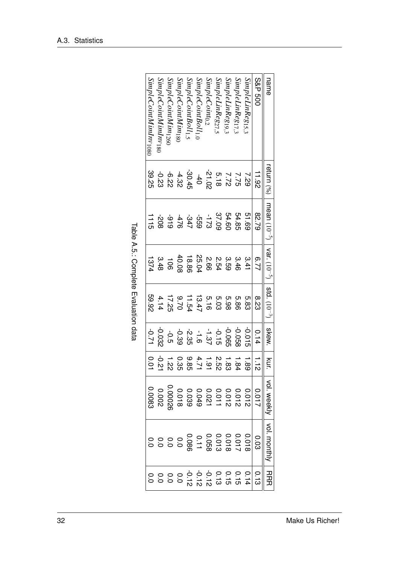| SimpleCointMimInv <sub>1080</sub> | <i>SimpleCointMimInv180</i> | SimpleCointMim <sub>126</sub> | <i>SimpleCointMim180</i> | SimpleCointBoll <sub>1.5</sub>                                                                                                                                                                                                                                                                                            | SimpleCointBoll <sub>1.0</sub> | SimpleCoint <sub>0.2</sub> | SimpleLinReg <sub>27,5</sub> | SimpleLinReg19,3 | $Simple LinReg_{17,3}$ | SimpleLinReg15,3 | <b>S&amp;P 500</b> | name                                                          |
|-----------------------------------|-----------------------------|-------------------------------|--------------------------|---------------------------------------------------------------------------------------------------------------------------------------------------------------------------------------------------------------------------------------------------------------------------------------------------------------------------|--------------------------------|----------------------------|------------------------------|------------------|------------------------|------------------|--------------------|---------------------------------------------------------------|
| 39.25                             | $-0.23$                     |                               |                          | $\begin{array}{cccccc} 7 & 7 & 7 & 7 & 7 & 8 \\ 20 & 7 & 7 & 7 & 8 & 3 \\ 20 & 7 & 7 & 8 & 3 & 3 \\ 20 & 8 & 1 & 2 & 3 & 3 \\ 20 & 8 & 1 & 2 & 3 & 3 \\ 20 & 1 & 2 & 2 & 3 & 3 \\ 20 & 2 & 2 & 2 & 3 & 3 \\ 20 & 2 & 2 & 2 & 3 & 3 \\ 20 & 2 & 2 & 2 & 3 & 3 \\ 20 & 2 & 2 & 2 & 3 & 3 \\ 20 & 2 & 2 & 2 & 3 & 3 & 3 \\ $ |                                |                            |                              |                  |                        |                  | 11.92              | return (%)                                                    |
| 11                                | -208                        |                               |                          | 37.09<br>97.25<br>07.09<br>07.29                                                                                                                                                                                                                                                                                          |                                |                            |                              | 54.60            | 54.85                  | 51.69            | 82.79              | mean $(10^{-5})$   var. $(10^{-5})$   std. $(10^{-3})$   skew |
| 1374                              | 3.48                        | $\overline{5}$                | 40.08                    | 18.86                                                                                                                                                                                                                                                                                                                     | 25.04                          | 2.66                       | 2.54                         | 3.59             | 3.46                   | 3.41             | 6.77               |                                                               |
| 26.92                             | 4.14                        | 17.25                         | 02.6                     | 11.54                                                                                                                                                                                                                                                                                                                     | 13.47                          |                            | $5.03$<br>5.16               | 5.98             | 5.86                   | 5.83             | 8.23               |                                                               |
| $-0.71$                           | -0.032                      | $-0.5$                        | -0.39                    | $-2.35$                                                                                                                                                                                                                                                                                                                   | $\frac{1}{9}$                  | $-1.37$                    | $-0.15$                      | -0.065           | -0.058                 | $-0.015$         | 0.14               |                                                               |
| 0.01                              | -0.21                       | 1.22                          | 0.35                     | 385                                                                                                                                                                                                                                                                                                                       | 4.71                           | 1.91                       | 252                          | 1.83             | 1.84                   | 1.89             | $\frac{1}{2}$      | kur.                                                          |
|                                   |                             |                               |                          |                                                                                                                                                                                                                                                                                                                           |                                |                            |                              |                  |                        |                  | 1100               | vol. weekl                                                    |
|                                   |                             |                               |                          |                                                                                                                                                                                                                                                                                                                           |                                |                            |                              |                  |                        |                  | <b>C.O3</b>        |                                                               |
|                                   |                             |                               |                          |                                                                                                                                                                                                                                                                                                                           |                                |                            |                              |                  |                        |                  | 0.13               | エロエ                                                           |

Table A.5.: Complete Evaluation data Table A.5.: Complete Evaluation data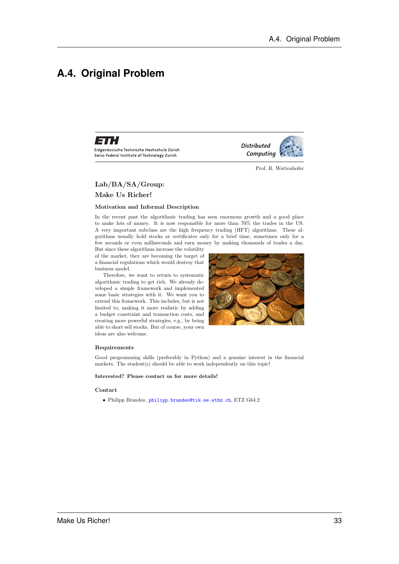## **A.4. Original Problem**



Eidgenössische Technische Hochschule Zürich Swiss Federal Institute of Technology Zurich

Prof. R. Wattenhofer

*Distributed Computing* 

#### Lab/BA/SA/Group:

#### Make Us Richer!

#### Motivation and Informal Description

In the recent past the algorithmic trading has seen enormous growth and a good place to make lots of money. It is now responsible for more than 70% the trades in the US. A very important subclass are the high frequency trading (HFT) algorithms. These algorithms usually hold stocks or certificates only for a brief time, sometimes only for a few seconds or even milliseconds and earn money by making thousands of trades a day.

But since these algorithms increase the volatility of the market, they are becoming the target of a financial regulations which would destroy that business model.

Therefore, we want to return to systematic algorithmic trading to get rich. We already developed a simple framework and implemented some basic strategies with it. We want you to extend this framework. This includes, but is not limited to, making it more realistic by adding a budget constraint and transaction costs, and creating more powerful strategies, e.g., by being able to short sell stocks. But of course, your own ideas are also welcome.



#### Requirements

Good programming skills (preferably in Python) and a genuine interest in the financial markets. The student(s) should be able to work independently on this topic!

#### Interested? Please contact us for more details!

#### Contact

• Philipp Brandes: philipp.brandes@tik.ee.ethz.ch, ETZ G64.2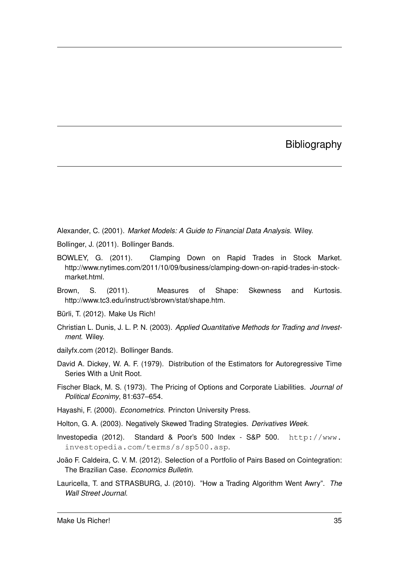### **Bibliography**

Alexander, C. (2001). *Market Models: A Guide to Financial Data Analysis*. Wiley.

- Bollinger, J. (2011). Bollinger Bands.
- BOWLEY, G. (2011). Clamping Down on Rapid Trades in Stock Market. http://www.nytimes.com/2011/10/09/business/clamping-down-on-rapid-trades-in-stockmarket.html.
- Brown, S. (2011). Measures of Shape: Skewness and Kurtosis. http://www.tc3.edu/instruct/sbrown/stat/shape.htm.
- Bürli, T. (2012). Make Us Rich!
- Christian L. Dunis, J. L. P. N. (2003). *Applied Quantitative Methods for Trading and Investment*. Wiley.
- dailyfx.com (2012). Bollinger Bands.
- David A. Dickey, W. A. F. (1979). Distribution of the Estimators for Autoregressive Time Series With a Unit Root.
- Fischer Black, M. S. (1973). The Pricing of Options and Corporate Liabilities. *Journal of Political Econimy*, 81:637–654.
- Hayashi, F. (2000). *Econometrics*. Princton University Press.
- Holton, G. A. (2003). Negatively Skewed Trading Strategies. *Derivatives Week*.
- Investopedia (2012). Standard & Poor's 500 Index S&P 500. http://www. investopedia.com/terms/s/sp500.asp.
- João F. Caldeira, C. V. M. (2012). Selection of a Portfolio of Pairs Based on Cointegration: The Brazilian Case. *Economics Bulletin*.
- Lauricella, T. and STRASBURG, J. (2010). "How a Trading Algorithm Went Awry". *The Wall Street Journal*.